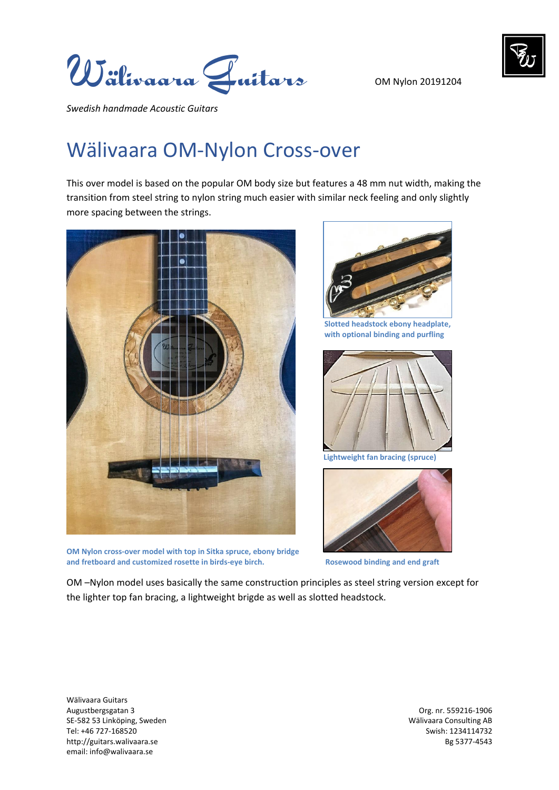OM Nylon 20191204



*Swedish handmade Acoustic Guitars* 

## Wälivaara OM-Nylon Cross-over

This over model is based on the popular OM body size but features a 48 mm nut width, making the transition from steel string to nylon string much easier with similar neck feeling and only slightly more spacing between the strings.



**OM Nylon cross-over model with top in Sitka spruce, ebony bridge and fretboard and customized rosette in birds-eye birch.**



**Slotted headstock ebony headplate, with optional binding and purfling** 



**Lightweight fan bracing (spruce)**



**Rosewood binding and end graft**

OM –Nylon model uses basically the same construction principles as steel string version except for the lighter top fan bracing, a lightweight brigde as well as slotted headstock.

Wälivaara Guitars Augustbergsgatan 3 Org. nr. 559216-1906 SE-582 53 Linköping, Sweden Wälivaara Consulting AB Tel: +46 727-168520 Swish: 1234114732 http://guitars.walivaara.se Bg 5377-4543 email: info@walivaara.se